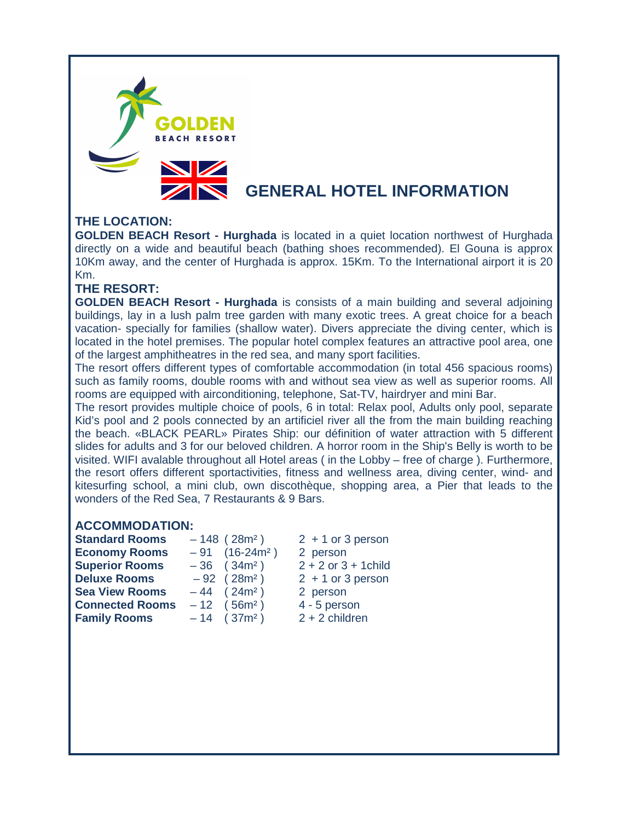

# **THE LOCATION:**

**GOLDEN BEACH Resort - Hurghada** is located in a quiet location northwest of Hurghada directly on a wide and beautiful beach (bathing shoes recommended). El Gouna is approx 10Km away, and the center of Hurghada is approx. 15Km. To the International airport it is 20 Km.

## **THE RESORT:**

**GOLDEN BEACH Resort - Hurghada** is consists of a main building and several adjoining buildings, lay in a lush palm tree garden with many exotic trees. A great choice for a beach vacation- specially for families (shallow water). Divers appreciate the diving center, which is located in the hotel premises. The popular hotel complex features an attractive pool area, one of the largest amphitheatres in the red sea, and many sport facilities.

The resort offers different types of comfortable accommodation (in total 456 spacious rooms) such as family rooms, double rooms with and without sea view as well as superior rooms. All rooms are equipped with airconditioning, telephone, Sat-TV, hairdryer and mini Bar.

The resort provides multiple choice of pools, 6 in total: Relax pool, Adults only pool, separate Kid's pool and 2 pools connected by an artificiel river all the from the main building reaching the beach. «BLACK PEARL» Pirates Ship: our définition of water attraction with 5 different slides for adults and 3 for our beloved children. A horror room in the Ship's Belly is worth to be visited. WIFI avalable throughout all Hotel areas ( in the Lobby – free of charge ). Furthermore, the resort offers different sportactivities, fitness and wellness area, diving center, wind- and kitesurfing school, a mini club, own discothèque, shopping area, a Pier that leads to the wonders of the Red Sea, 7 Restaurants & 9 Bars.

# **ACCOMMODATION:**

| <b>Standard Rooms</b>  | $-148$ (28m <sup>2</sup> )   |          | $2 + 1$ or 3 person      |
|------------------------|------------------------------|----------|--------------------------|
| <b>Economy Rooms</b>   | $-91$ (16-24m <sup>2</sup> ) | 2 person |                          |
| <b>Superior Rooms</b>  | $-36$ (34m <sup>2</sup> )    |          | $2 + 2$ or $3 + 1$ child |
| <b>Deluxe Rooms</b>    | $-92$ (28m <sup>2</sup> )    |          | $2 + 1$ or 3 person      |
| <b>Sea View Rooms</b>  | $-44$ (24m <sup>2</sup> )    | 2 person |                          |
| <b>Connected Rooms</b> | $-12$ (56m <sup>2</sup> )    |          | 4 - 5 person             |
| <b>Family Rooms</b>    | $-14$ (37m <sup>2</sup> )    |          | $2 + 2$ children         |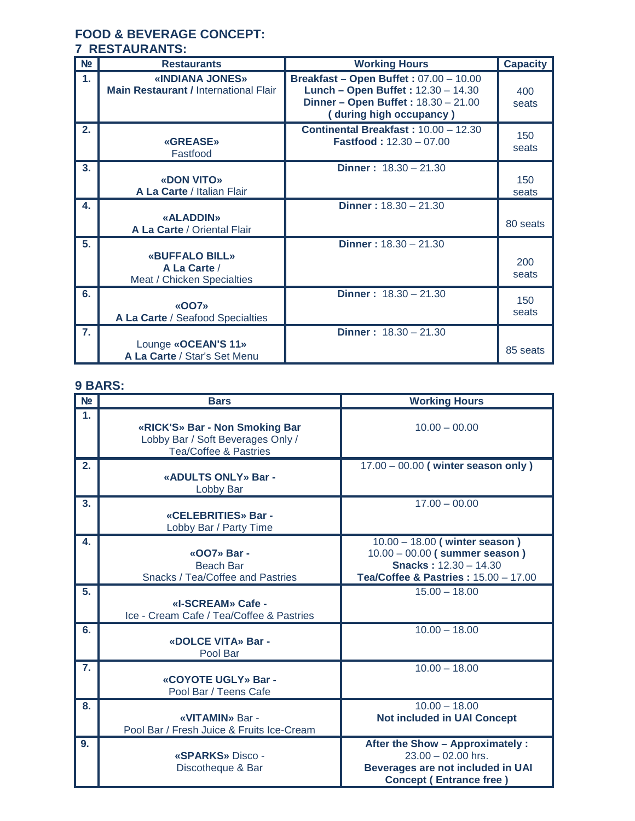## **FOOD & BEVERAGE CONCEPT: 7 RESTAURANTS:**

| N <sub>2</sub> | <b>Restaurants</b>                                                  | <b>Working Hours</b>                                                                                                                                  | <b>Capacity</b> |
|----------------|---------------------------------------------------------------------|-------------------------------------------------------------------------------------------------------------------------------------------------------|-----------------|
| $\mathbf{1}$   | «INDIANA JONES»<br><b>Main Restaurant / International Flair</b>     | <b>Breakfast - Open Buffet: 07.00 - 10.00</b><br>Lunch - Open Buffet: 12.30 - 14.30<br>Dinner - Open Buffet: 18.30 - 21.00<br>(during high occupancy) | 400<br>seats    |
| 2.             | <b>«GREASE»</b><br>Fastfood                                         | Continental Breakfast: 10.00 - 12.30<br><b>Fastfood: 12.30 - 07.00</b>                                                                                | 150<br>seats    |
| 3.             | «DON VITO»<br>A La Carte / Italian Flair                            | <b>Dinner</b> : $18.30 - 21.30$                                                                                                                       | 150<br>seats    |
| 4.             | «ALADDIN»<br>A La Carte / Oriental Flair                            | <b>Dinner</b> : $18.30 - 21.30$                                                                                                                       | 80 seats        |
| 5.             | <b>«BUFFALO BILL»</b><br>A La Carte /<br>Meat / Chicken Specialties | <b>Dinner</b> : $18.30 - 21.30$                                                                                                                       | 200<br>seats    |
| 6.             | «OO7»<br>A La Carte / Seafood Specialties                           | <b>Dinner</b> : $18.30 - 21.30$                                                                                                                       | 150<br>seats    |
| $\mathbf{7}$   | Lounge «OCEAN'S 11»<br>A La Carte / Star's Set Menu                 | <b>Dinner</b> : $18.30 - 21.30$                                                                                                                       | 85 seats        |

# **9 BARS:**

| N <sub>2</sub> | <b>Bars</b>                                                                                             | <b>Working Hours</b>                                                                                                                       |
|----------------|---------------------------------------------------------------------------------------------------------|--------------------------------------------------------------------------------------------------------------------------------------------|
| 1.             | «RICK'S» Bar - Non Smoking Bar<br>Lobby Bar / Soft Beverages Only /<br><b>Tea/Coffee &amp; Pastries</b> | $10.00 - 00.00$                                                                                                                            |
| 2.             | «ADULTS ONLY» Bar -<br>Lobby Bar                                                                        | 17.00 - 00.00 (winter season only)                                                                                                         |
| 3.             | «CELEBRITIES» Bar -<br>Lobby Bar / Party Time                                                           | $17.00 - 00.00$                                                                                                                            |
| 4.             | «007» Bar -<br><b>Beach Bar</b><br><b>Snacks / Tea/Coffee and Pastries</b>                              | $10.00 - 18.00$ (winter season)<br>$10.00 - 00.00$ (summer season)<br><b>Snacks: 12.30 - 14.30</b><br>Tea/Coffee & Pastries: 15.00 - 17.00 |
| 5.             | «I-SCREAM» Cafe -<br>Ice - Cream Cafe / Tea/Coffee & Pastries                                           | $15.00 - 18.00$                                                                                                                            |
| 6.             | «DOLCE VITA» Bar -<br>Pool Bar                                                                          | $10.00 - 18.00$                                                                                                                            |
| 7.             | «COYOTE UGLY» Bar -<br>Pool Bar / Teens Cafe                                                            | $10.00 - 18.00$                                                                                                                            |
| 8.             | «VITAMIN» Bar -<br>Pool Bar / Fresh Juice & Fruits Ice-Cream                                            | $10.00 - 18.00$<br><b>Not included in UAI Concept</b>                                                                                      |
| 9.             | «SPARKS» Disco -<br>Discotheque & Bar                                                                   | After the Show - Approximately :<br>$23.00 - 02.00$ hrs.<br>Beverages are not included in UAI<br><b>Concept (Entrance free)</b>            |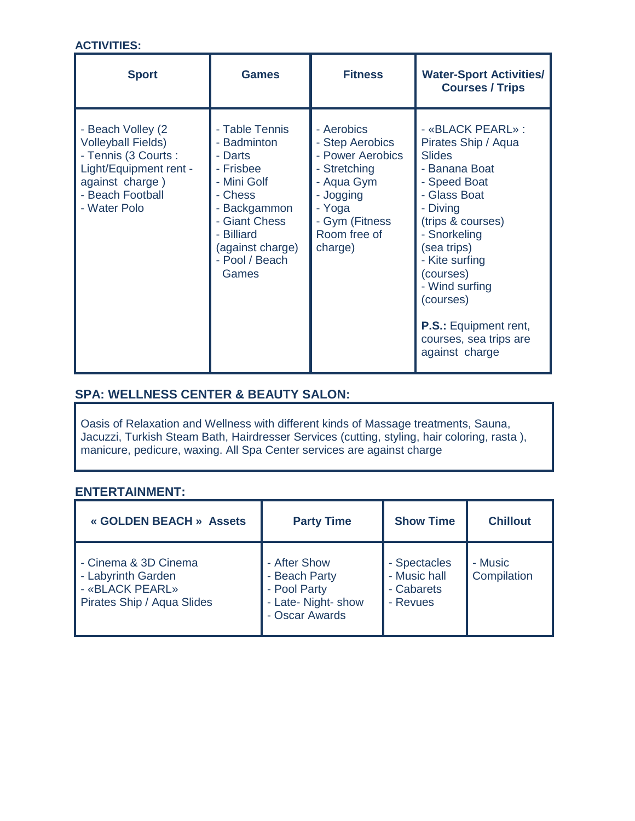# **ACTIVITIES:**

| <b>Sport</b>                                                                                                                                             | <b>Games</b>                                                                                                                                                                  | <b>Fitness</b>                                                                                                                                      | <b>Water-Sport Activities/</b><br><b>Courses / Trips</b>                                                                                                                                                                                                                                                             |
|----------------------------------------------------------------------------------------------------------------------------------------------------------|-------------------------------------------------------------------------------------------------------------------------------------------------------------------------------|-----------------------------------------------------------------------------------------------------------------------------------------------------|----------------------------------------------------------------------------------------------------------------------------------------------------------------------------------------------------------------------------------------------------------------------------------------------------------------------|
| - Beach Volley (2)<br><b>Volleyball Fields)</b><br>- Tennis (3 Courts :<br>Light/Equipment rent -<br>against charge)<br>- Beach Football<br>- Water Polo | - Table Tennis<br>- Badminton<br>- Darts<br>- Frisbee<br>- Mini Golf<br>- Chess<br>- Backgammon<br>- Giant Chess<br>- Billiard<br>(against charge)<br>- Pool / Beach<br>Games | - Aerobics<br>- Step Aerobics<br>- Power Aerobics<br>- Stretching<br>- Aqua Gym<br>- Jogging<br>- Yoga<br>- Gym (Fitness<br>Room free of<br>charge) | - «BLACK PEARL» :<br>Pirates Ship / Aqua<br><b>Slides</b><br>- Banana Boat<br>- Speed Boat<br>- Glass Boat<br>- Diving<br>(trips & courses)<br>- Snorkeling<br>(sea trips)<br>- Kite surfing<br>(courses)<br>- Wind surfing<br>(courses)<br><b>P.S.: Equipment rent,</b><br>courses, sea trips are<br>against charge |

# **SPA: WELLNESS CENTER & BEAUTY SALON:**

Oasis of Relaxation and Wellness with different kinds of Massage treatments, Sauna, Jacuzzi, Turkish Steam Bath, Hairdresser Services (cutting, styling, hair coloring, rasta ), manicure, pedicure, waxing. All Spa Center services are against charge

### **ENTERTAINMENT:**

| « GOLDEN BEACH » Assets                                                                     | <b>Party Time</b>                                                                      | <b>Show Time</b>                                       | <b>Chillout</b>        |
|---------------------------------------------------------------------------------------------|----------------------------------------------------------------------------------------|--------------------------------------------------------|------------------------|
| - Cinema & 3D Cinema<br>- Labyrinth Garden<br>- «BLACK PEARL»<br>Pirates Ship / Aqua Slides | - After Show<br>- Beach Party<br>- Pool Party<br>- Late- Night- show<br>- Oscar Awards | - Spectacles<br>- Music hall<br>- Cabarets<br>- Revues | - Music<br>Compilation |